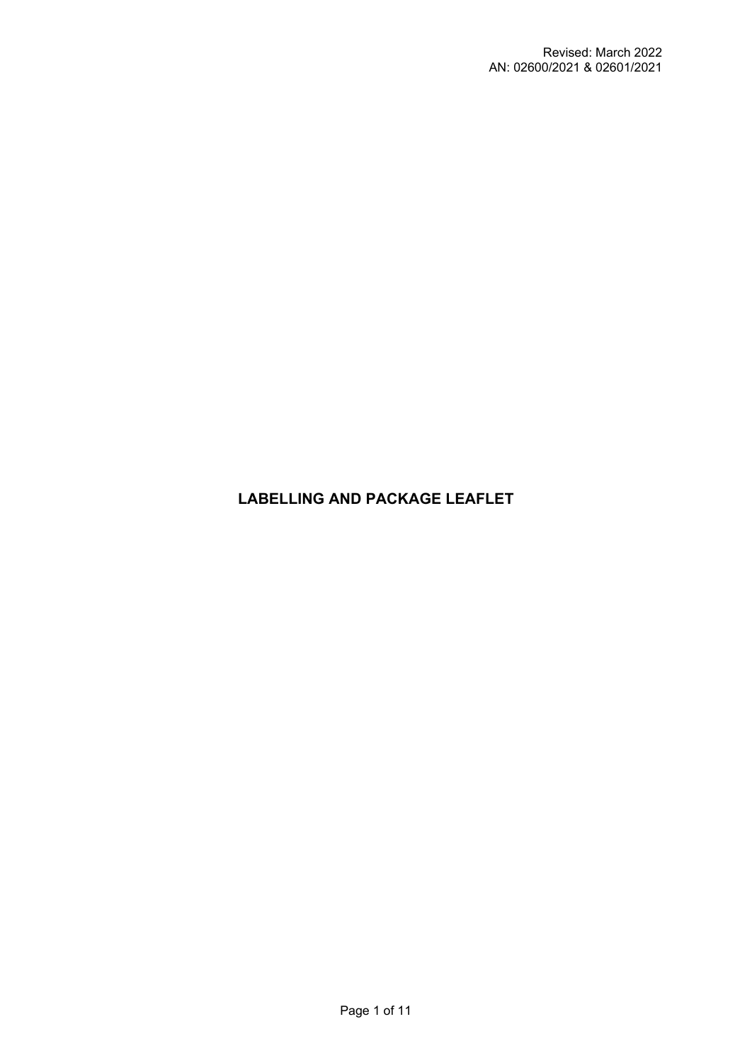# **LABELLING AND PACKAGE LEAFLET**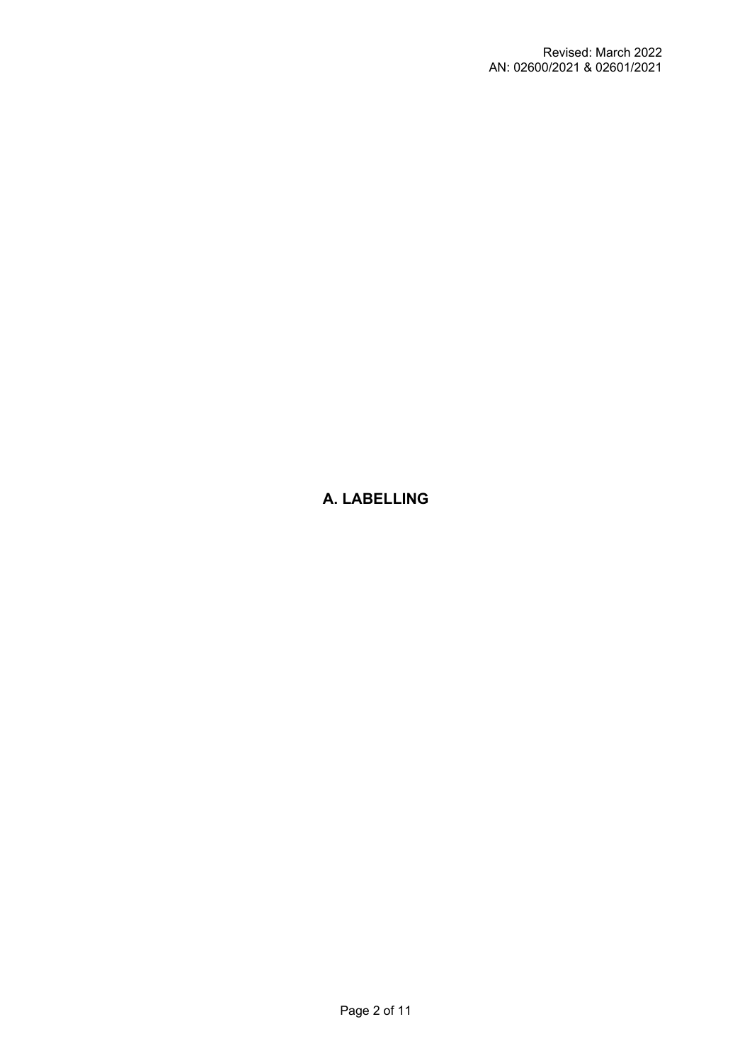# **A. LABELLING**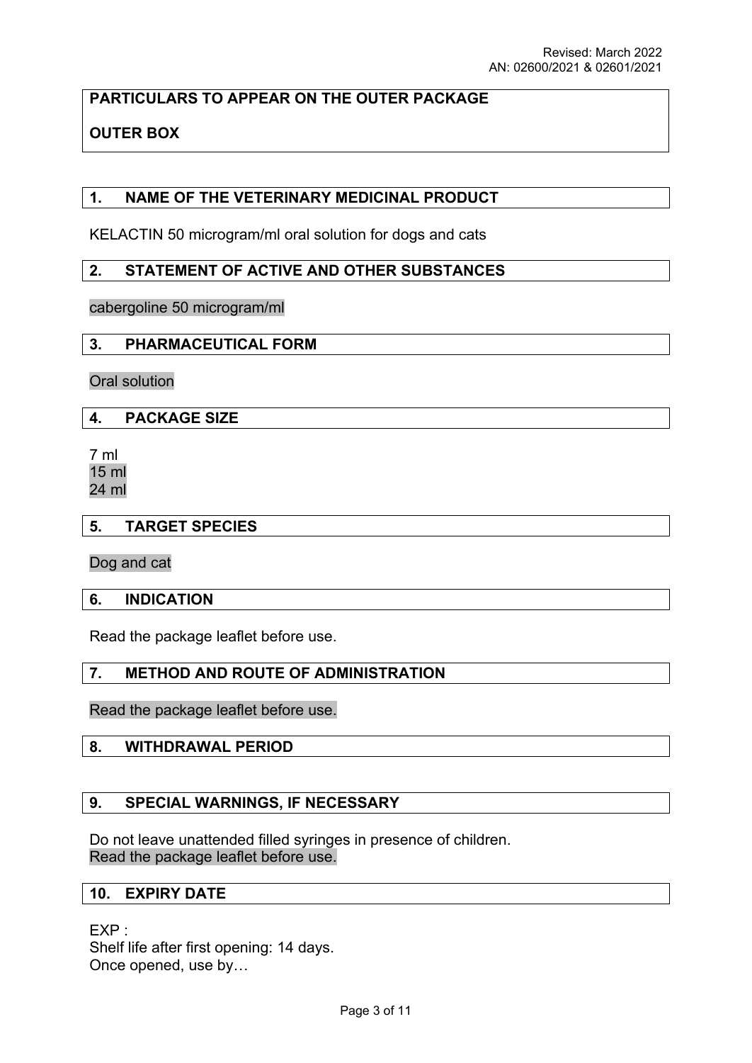**PARTICULARS TO APPEAR ON THE OUTER PACKAGE**

# **OUTER BOX**

## **1. NAME OF THE VETERINARY MEDICINAL PRODUCT**

KELACTIN 50 microgram/ml oral solution for dogs and cats

## **2. STATEMENT OF ACTIVE AND OTHER SUBSTANCES**

cabergoline 50 microgram/ml

#### **3. PHARMACEUTICAL FORM**

Oral solution

#### **4. PACKAGE SIZE**

7 ml 15 ml 24 ml

#### **5. TARGET SPECIES**

Dog and cat

#### **6. INDICATION**

Read the package leaflet before use.

## **7. METHOD AND ROUTE OF ADMINISTRATION**

Read the package leaflet before use.

#### **8. WITHDRAWAL PERIOD**

#### **9. SPECIAL WARNINGS, IF NECESSARY**

Do not leave unattended filled syringes in presence of children. Read the package leaflet before use.

#### **10. EXPIRY DATE**

EXP : Shelf life after first opening: 14 days. Once opened, use by…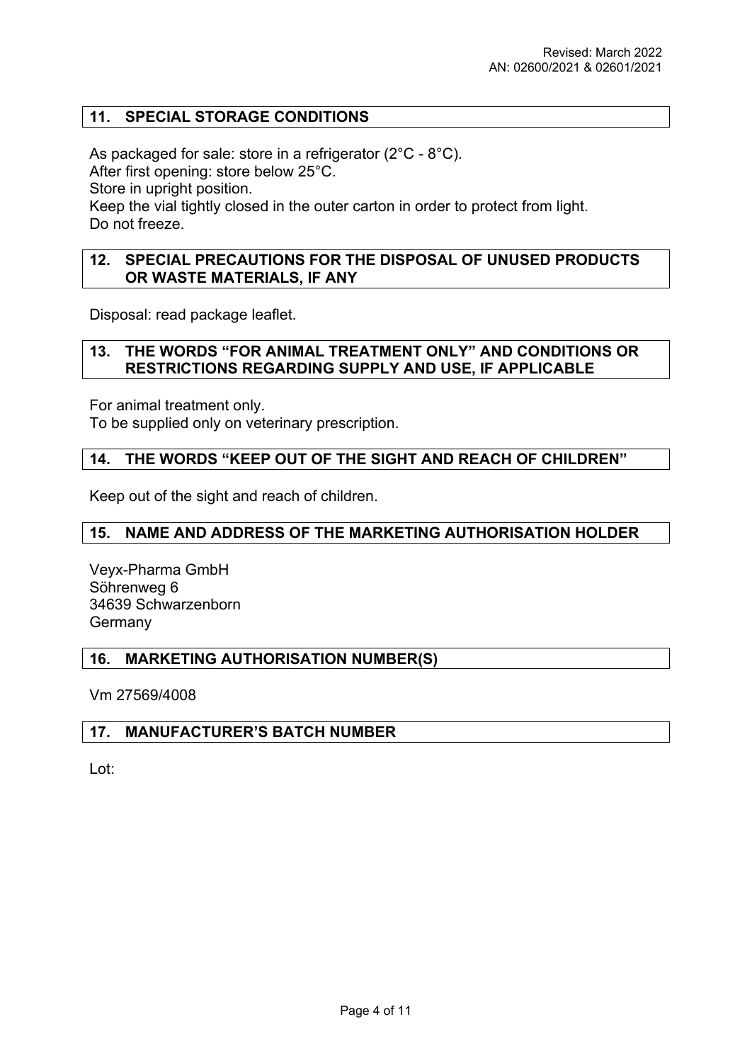## **11. SPECIAL STORAGE CONDITIONS**

As packaged for sale: store in a refrigerator (2°C - 8°C). After first opening: store below 25°C. Store in upright position. Keep the vial tightly closed in the outer carton in order to protect from light. Do not freeze.

#### **12. SPECIAL PRECAUTIONS FOR THE DISPOSAL OF UNUSED PRODUCTS OR WASTE MATERIALS, IF ANY**

Disposal: read package leaflet.

#### **13. THE WORDS "FOR ANIMAL TREATMENT ONLY" AND CONDITIONS OR RESTRICTIONS REGARDING SUPPLY AND USE, IF APPLICABLE**

For animal treatment only.

To be supplied only on veterinary prescription.

#### **14. THE WORDS "KEEP OUT OF THE SIGHT AND REACH OF CHILDREN"**

Keep out of the sight and reach of children.

#### **15. NAME AND ADDRESS OF THE MARKETING AUTHORISATION HOLDER**

Veyx-Pharma GmbH Söhrenweg 6 34639 Schwarzenborn Germany

#### **16. MARKETING AUTHORISATION NUMBER(S)**

Vm 27569/4008

#### **17. MANUFACTURER'S BATCH NUMBER**

Lot: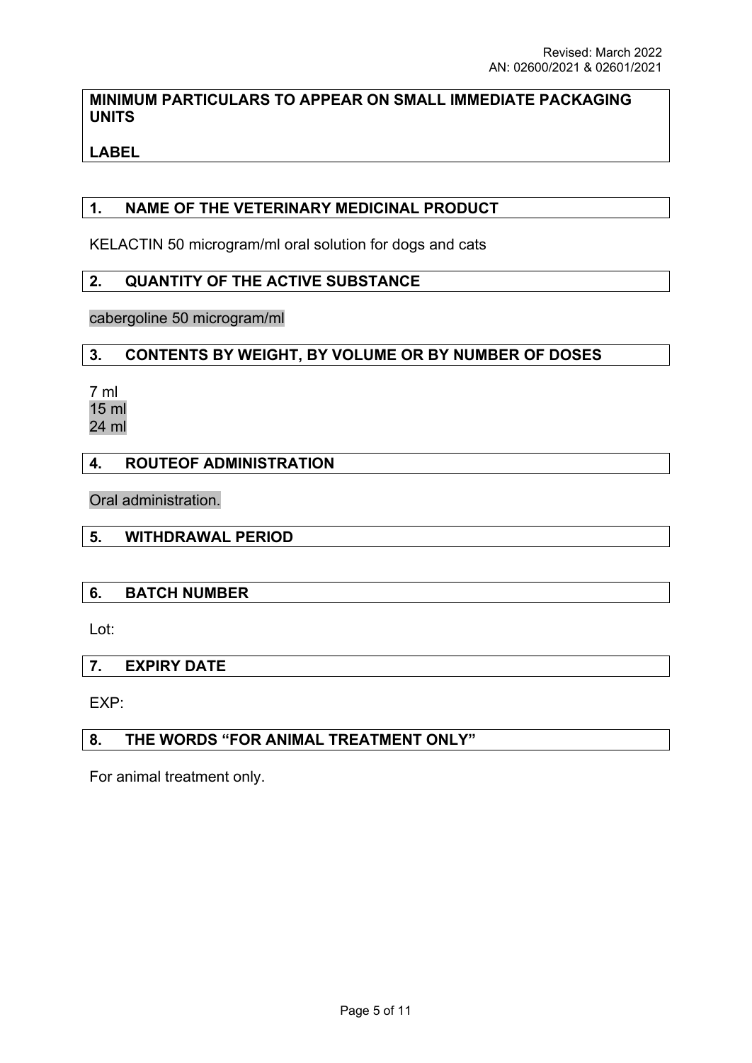# **MINIMUM PARTICULARS TO APPEAR ON SMALL IMMEDIATE PACKAGING UNITS**

# **LABEL**

# **1. NAME OF THE VETERINARY MEDICINAL PRODUCT**

KELACTIN 50 microgram/ml oral solution for dogs and cats

## **2. QUANTITY OF THE ACTIVE SUBSTANCE**

cabergoline 50 microgram/ml

# **3. CONTENTS BY WEIGHT, BY VOLUME OR BY NUMBER OF DOSES**

7 ml 15 ml 24 ml

# **4. ROUTEOF ADMINISTRATION**

Oral administration.

## **5. WITHDRAWAL PERIOD**

## **6. BATCH NUMBER**

Lot:

## **7. EXPIRY DATE**

EXP:

## **8. THE WORDS "FOR ANIMAL TREATMENT ONLY"**

For animal treatment only.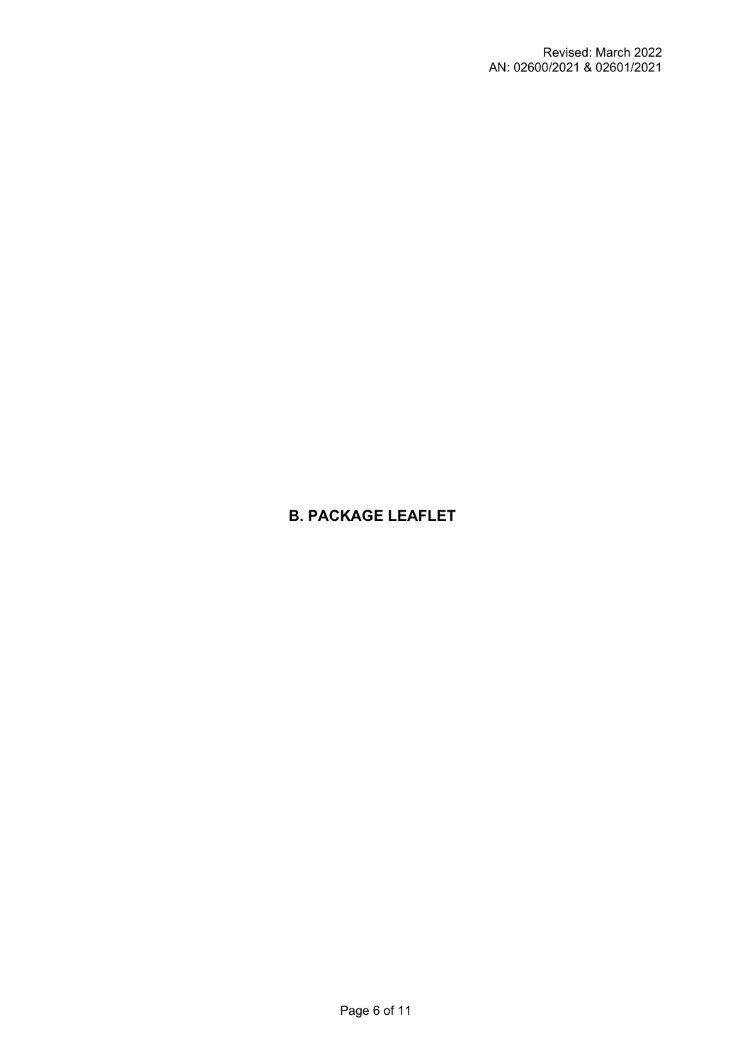# **B. PACKAGE LEAFLET**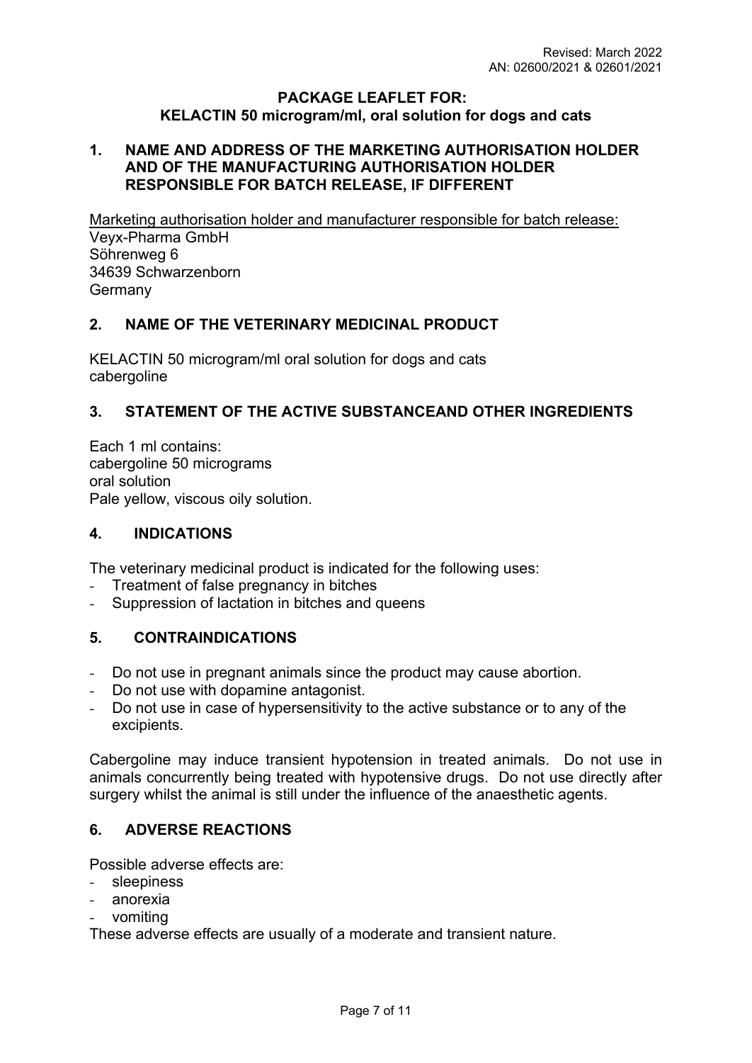#### **PACKAGE LEAFLET FOR: KELACTIN 50 microgram/ml, oral solution for dogs and cats**

## **1. NAME AND ADDRESS OF THE MARKETING AUTHORISATION HOLDER AND OF THE MANUFACTURING AUTHORISATION HOLDER RESPONSIBLE FOR BATCH RELEASE, IF DIFFERENT**

Marketing authorisation holder and manufacturer responsible for batch release: Veyx-Pharma GmbH Söhrenweg 6 34639 Schwarzenborn **Germany** 

# **2. NAME OF THE VETERINARY MEDICINAL PRODUCT**

KELACTIN 50 microgram/ml oral solution for dogs and cats cabergoline

# **3. STATEMENT OF THE ACTIVE SUBSTANCEAND OTHER INGREDIENTS**

Each 1 ml contains: cabergoline 50 micrograms oral solution Pale yellow, viscous oily solution.

## **4. INDICATIONS**

The veterinary medicinal product is indicated for the following uses:

- *-* Treatment of false pregnancy in bitches
- *-* Suppression of lactation in bitches and queens

## **5. CONTRAINDICATIONS**

- *-* Do not use in pregnant animals since the product may cause abortion.
- *-* Do not use with dopamine antagonist.
- *-* Do not use in case of hypersensitivity to the active substance or to any of the excipients.

Cabergoline may induce transient hypotension in treated animals. Do not use in animals concurrently being treated with hypotensive drugs. Do not use directly after surgery whilst the animal is still under the influence of the anaesthetic agents.

## **6. ADVERSE REACTIONS**

Possible adverse effects are:

- *-* sleepiness
- *-* anorexia
- *-* vomiting

These adverse effects are usually of a moderate and transient nature.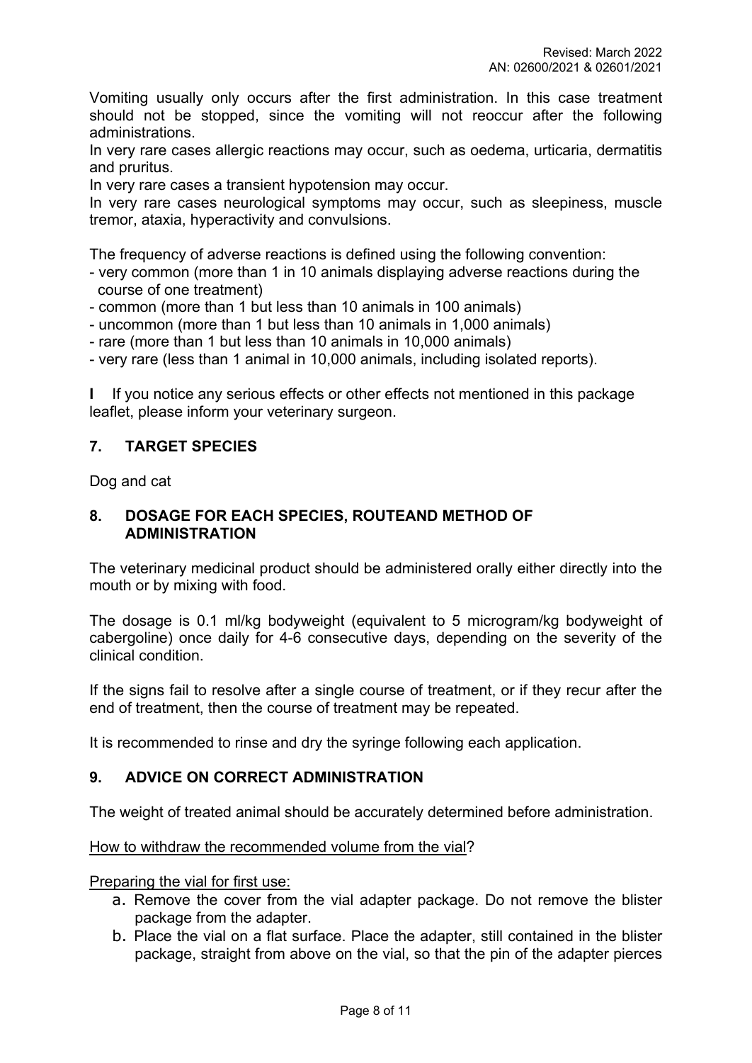Vomiting usually only occurs after the first administration. In this case treatment should not be stopped, since the vomiting will not reoccur after the following administrations.

In very rare cases allergic reactions may occur, such as oedema, urticaria, dermatitis and pruritus.

In very rare cases a transient hypotension may occur.

In very rare cases neurological symptoms may occur, such as sleepiness, muscle tremor, ataxia, hyperactivity and convulsions.

The frequency of adverse reactions is defined using the following convention:

- very common (more than 1 in 10 animals displaying adverse reactions during the course of one treatment)
- common (more than 1 but less than 10 animals in 100 animals)
- uncommon (more than 1 but less than 10 animals in 1,000 animals)
- rare (more than 1 but less than 10 animals in 10,000 animals)
- very rare (less than 1 animal in 10,000 animals, including isolated reports).

**I** If you notice any serious effects or other effects not mentioned in this package leaflet, please inform your veterinary surgeon.

## **7. TARGET SPECIES**

Dog and cat

#### **8. DOSAGE FOR EACH SPECIES, ROUTEAND METHOD OF ADMINISTRATION**

The veterinary medicinal product should be administered orally either directly into the mouth or by mixing with food.

The dosage is 0.1 ml/kg bodyweight (equivalent to 5 microgram/kg bodyweight of cabergoline) once daily for 4-6 consecutive days, depending on the severity of the clinical condition.

If the signs fail to resolve after a single course of treatment, or if they recur after the end of treatment, then the course of treatment may be repeated.

It is recommended to rinse and dry the syringe following each application.

## **9. ADVICE ON CORRECT ADMINISTRATION**

The weight of treated animal should be accurately determined before administration.

#### How to withdraw the recommended volume from the vial?

Preparing the vial for first use:

- a. Remove the cover from the vial adapter package. Do not remove the blister package from the adapter.
- b. Place the vial on a flat surface. Place the adapter, still contained in the blister package, straight from above on the vial, so that the pin of the adapter pierces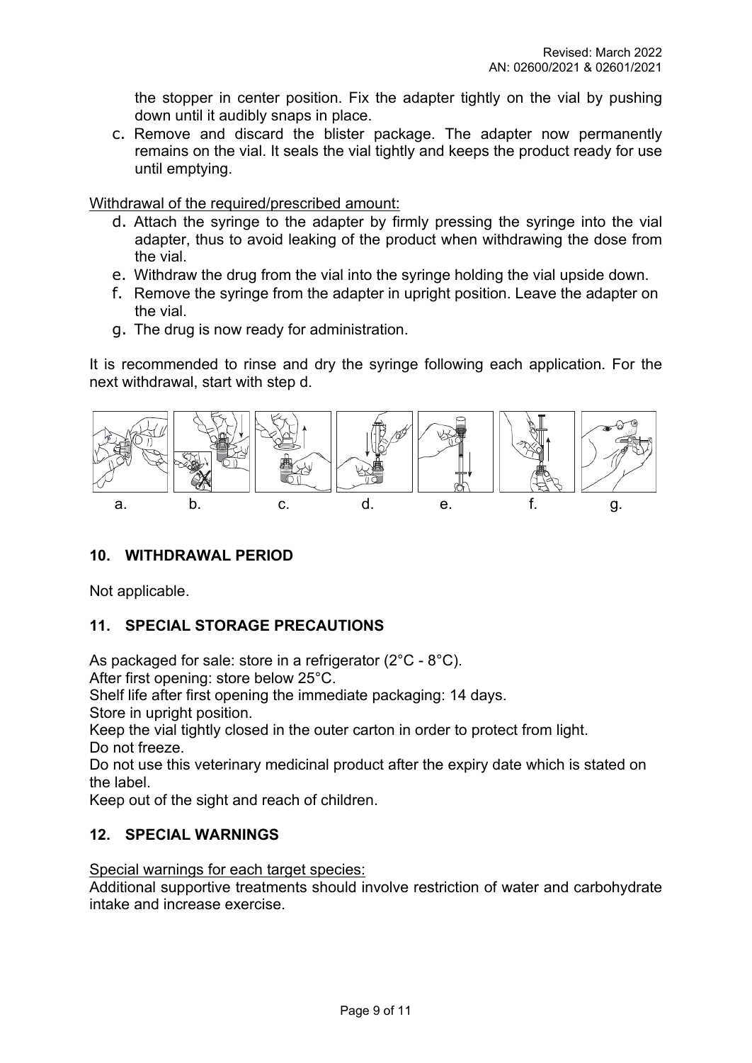the stopper in center position. Fix the adapter tightly on the vial by pushing down until it audibly snaps in place.

c. Remove and discard the blister package. The adapter now permanently remains on the vial. It seals the vial tightly and keeps the product ready for use until emptying.

Withdrawal of the required/prescribed amount:

- d. Attach the syringe to the adapter by firmly pressing the syringe into the vial adapter, thus to avoid leaking of the product when withdrawing the dose from the vial.
- e. Withdraw the drug from the vial into the syringe holding the vial upside down.
- f. Remove the syringe from the adapter in upright position. Leave the adapter on the vial.
- g. The drug is now ready for administration.

It is recommended to rinse and dry the syringe following each application. For the next withdrawal, start with step d.



# **10. WITHDRAWAL PERIOD**

Not applicable.

# **11. SPECIAL STORAGE PRECAUTIONS**

As packaged for sale: store in a refrigerator (2°C - 8°C).

After first opening: store below 25°C.

Shelf life after first opening the immediate packaging: 14 days.

Store in upright position.

Keep the vial tightly closed in the outer carton in order to protect from light. Do not freeze.

Do not use this veterinary medicinal product after the expiry date which is stated on the label.

Keep out of the sight and reach of children.

## **12. SPECIAL WARNINGS**

Special warnings for each target species:

Additional supportive treatments should involve restriction of water and carbohydrate intake and increase exercise.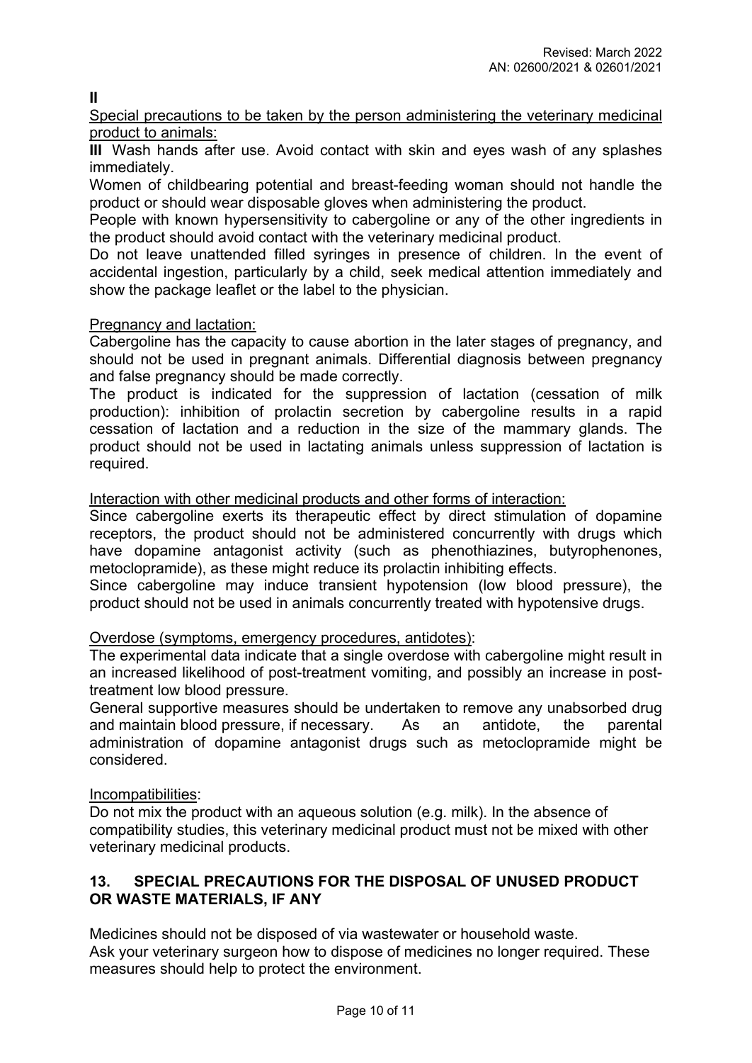**II**

Special precautions to be taken by the person administering the veterinary medicinal product to animals:

**III** Wash hands after use. Avoid contact with skin and eyes wash of any splashes immediately.

Women of childbearing potential and breast-feeding woman should not handle the product or should wear disposable gloves when administering the product.

People with known hypersensitivity to cabergoline or any of the other ingredients in the product should avoid contact with the veterinary medicinal product.

Do not leave unattended filled syringes in presence of children. In the event of accidental ingestion, particularly by a child, seek medical attention immediately and show the package leaflet or the label to the physician.

# Pregnancy and lactation:

Cabergoline has the capacity to cause abortion in the later stages of pregnancy, and should not be used in pregnant animals. Differential diagnosis between pregnancy and false pregnancy should be made correctly.

The product is indicated for the suppression of lactation (cessation of milk production): inhibition of prolactin secretion by cabergoline results in a rapid cessation of lactation and a reduction in the size of the mammary glands. The product should not be used in lactating animals unless suppression of lactation is required.

Interaction with other medicinal products and other forms of interaction:

Since cabergoline exerts its therapeutic effect by direct stimulation of dopamine receptors, the product should not be administered concurrently with drugs which have dopamine antagonist activity (such as phenothiazines, butyrophenones, metoclopramide), as these might reduce its prolactin inhibiting effects.

Since cabergoline may induce transient hypotension (low blood pressure), the product should not be used in animals concurrently treated with hypotensive drugs.

## Overdose (symptoms, emergency procedures, antidotes):

The experimental data indicate that a single overdose with cabergoline might result in an increased likelihood of post-treatment vomiting, and possibly an increase in posttreatment low blood pressure.

General supportive measures should be undertaken to remove any unabsorbed drug and maintain blood pressure, if necessary. As an antidote, the parental administration of dopamine antagonist drugs such as metoclopramide might be considered.

## Incompatibilities:

Do not mix the product with an aqueous solution (e.g. milk). In the absence of compatibility studies, this veterinary medicinal product must not be mixed with other veterinary medicinal products.

# **13. SPECIAL PRECAUTIONS FOR THE DISPOSAL OF UNUSED PRODUCT OR WASTE MATERIALS, IF ANY**

Medicines should not be disposed of via wastewater or household waste. Ask your veterinary surgeon how to dispose of medicines no longer required. These measures should help to protect the environment.